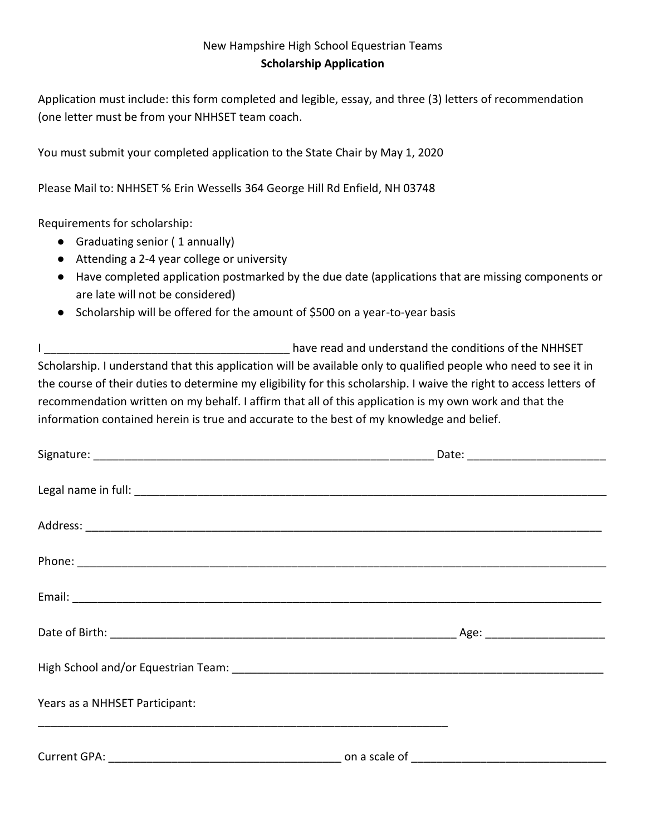## New Hampshire High School Equestrian Teams **Scholarship Application**

Application must include: this form completed and legible, essay, and three (3) letters of recommendation (one letter must be from your NHHSET team coach.

You must submit your completed application to the State Chair by May 1, 2020

Please Mail to: NHHSET ℅ Erin Wessells 364 George Hill Rd Enfield, NH 03748

Requirements for scholarship:

- Graduating senior ( 1 annually)
- Attending a 2-4 year college or university
- Have completed application postmarked by the due date (applications that are missing components or are late will not be considered)
- Scholarship will be offered for the amount of \$500 on a year-to-year basis

I conditions of the NHHSET have read and understand the conditions of the NHHSET Scholarship. I understand that this application will be available only to qualified people who need to see it in the course of their duties to determine my eligibility for this scholarship. I waive the right to access letters of recommendation written on my behalf. I affirm that all of this application is my own work and that the information contained herein is true and accurate to the best of my knowledge and belief.

| Years as a NHHSET Participant: |  |
|--------------------------------|--|
|                                |  |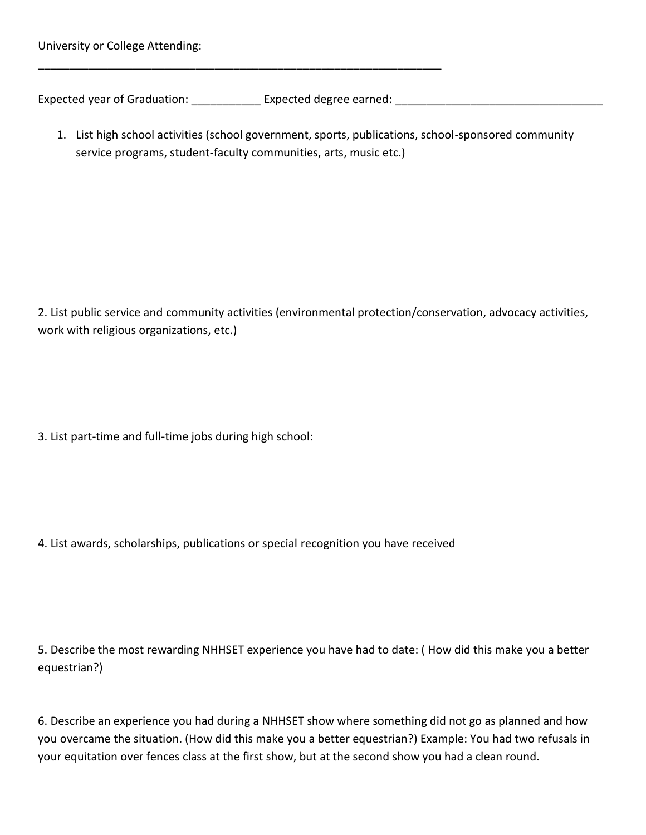University or College Attending:

Expected year of Graduation: \_\_\_\_\_\_\_\_\_\_\_ Expected degree earned: \_\_\_\_\_\_\_\_\_\_\_\_\_\_\_\_\_\_\_\_\_\_\_\_\_\_\_\_\_\_\_\_\_

\_\_\_\_\_\_\_\_\_\_\_\_\_\_\_\_\_\_\_\_\_\_\_\_\_\_\_\_\_\_\_\_\_\_\_\_\_\_\_\_\_\_\_\_\_\_\_\_\_\_\_\_\_\_\_\_\_\_\_\_\_\_\_\_

1. List high school activities (school government, sports, publications, school-sponsored community service programs, student-faculty communities, arts, music etc.)

2. List public service and community activities (environmental protection/conservation, advocacy activities, work with religious organizations, etc.)

3. List part-time and full-time jobs during high school:

4. List awards, scholarships, publications or special recognition you have received

5. Describe the most rewarding NHHSET experience you have had to date: ( How did this make you a better equestrian?)

6. Describe an experience you had during a NHHSET show where something did not go as planned and how you overcame the situation. (How did this make you a better equestrian?) Example: You had two refusals in your equitation over fences class at the first show, but at the second show you had a clean round.